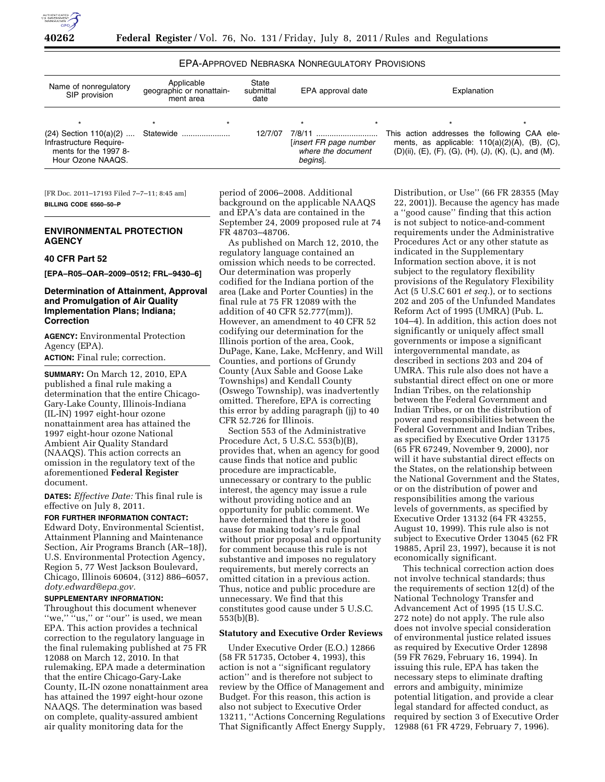

## EPA-APPROVED NEBRASKA NONREGULATORY PROVISIONS

| Name of nonregulatory<br>SIP provision                                | Applicable<br>geographic or nonattain-<br>ment area | State<br>submittal<br>date | EPA approval date                                        | Explanation                                                                                                                                                                                    |  |
|-----------------------------------------------------------------------|-----------------------------------------------------|----------------------------|----------------------------------------------------------|------------------------------------------------------------------------------------------------------------------------------------------------------------------------------------------------|--|
| Infrastructure Require-<br>ments for the 1997 8-<br>Hour Ozone NAAQS. | $\star$                                             |                            | [insert FR page number<br>where the document<br>begins]. | $\star$<br>This action addresses the following CAA ele-<br>ments, as applicable: $110(a)(2)(A)$ , (B), (C),<br>$(D)(ii)$ , $(E)$ , $(F)$ , $(G)$ , $(H)$ , $(J)$ , $(K)$ , $(L)$ , and $(M)$ . |  |

[FR Doc. 2011–17193 Filed 7–7–11; 8:45 am] **BILLING CODE 6560–50–P** 

### **ENVIRONMENTAL PROTECTION AGENCY**

### **40 CFR Part 52**

**[EPA–R05–OAR–2009–0512; FRL–9430–6]** 

### **Determination of Attainment, Approval and Promulgation of Air Quality Implementation Plans; Indiana; Correction**

**AGENCY:** Environmental Protection Agency (EPA). **ACTION:** Final rule; correction.

**SUMMARY:** On March 12, 2010, EPA published a final rule making a determination that the entire Chicago-Gary-Lake County, Illinois-Indiana (IL-IN) 1997 eight-hour ozone nonattainment area has attained the 1997 eight-hour ozone National Ambient Air Quality Standard (NAAQS). This action corrects an omission in the regulatory text of the aforementioned **Federal Register**  document.

**DATES:** *Effective Date:* This final rule is effective on July 8, 2011.

**FOR FURTHER INFORMATION CONTACT:**  Edward Doty, Environmental Scientist, Attainment Planning and Maintenance Section, Air Programs Branch (AR–18J), U.S. Environmental Protection Agency, Region 5, 77 West Jackson Boulevard, Chicago, Illinois 60604, (312) 886–6057, *[doty.edward@epa.gov.](mailto:doty.edward@epa.gov)* 

# **SUPPLEMENTARY INFORMATION:**

Throughout this document whenever "we," "us," or "our" is used, we mean EPA. This action provides a technical correction to the regulatory language in the final rulemaking published at 75 FR 12088 on March 12, 2010. In that rulemaking, EPA made a determination that the entire Chicago-Gary-Lake County, IL-IN ozone nonattainment area has attained the 1997 eight-hour ozone NAAQS. The determination was based on complete, quality-assured ambient air quality monitoring data for the

period of 2006–2008. Additional background on the applicable NAAQS and EPA's data are contained in the September 24, 2009 proposed rule at 74 FR 48703–48706.

As published on March 12, 2010, the regulatory language contained an omission which needs to be corrected. Our determination was properly codified for the Indiana portion of the area (Lake and Porter Counties) in the final rule at 75 FR 12089 with the addition of 40 CFR 52.777(mm)). However, an amendment to 40 CFR 52 codifying our determination for the Illinois portion of the area, Cook, DuPage, Kane, Lake, McHenry, and Will Counties, and portions of Grundy County (Aux Sable and Goose Lake Townships) and Kendall County (Oswego Township), was inadvertently omitted. Therefore, EPA is correcting this error by adding paragraph (jj) to 40 CFR 52.726 for Illinois.

Section 553 of the Administrative Procedure Act, 5 U.S.C. 553(b)(B), provides that, when an agency for good cause finds that notice and public procedure are impracticable, unnecessary or contrary to the public interest, the agency may issue a rule without providing notice and an opportunity for public comment. We have determined that there is good cause for making today's rule final without prior proposal and opportunity for comment because this rule is not substantive and imposes no regulatory requirements, but merely corrects an omitted citation in a previous action. Thus, notice and public procedure are unnecessary. We find that this constitutes good cause under 5 U.S.C. 553(b)(B).

#### **Statutory and Executive Order Reviews**

Under Executive Order (E.O.) 12866 (58 FR 51735, October 4, 1993), this action is not a ''significant regulatory action'' and is therefore not subject to review by the Office of Management and Budget. For this reason, this action is also not subject to Executive Order 13211, ''Actions Concerning Regulations That Significantly Affect Energy Supply,

Distribution, or Use'' (66 FR 28355 (May 22, 2001)). Because the agency has made a ''good cause'' finding that this action is not subject to notice-and-comment requirements under the Administrative Procedures Act or any other statute as indicated in the Supplementary Information section above, it is not subject to the regulatory flexibility provisions of the Regulatory Flexibility Act (5 U.S.C 601 *et seq.*), or to sections 202 and 205 of the Unfunded Mandates Reform Act of 1995 (UMRA) (Pub. L. 104–4). In addition, this action does not significantly or uniquely affect small governments or impose a significant intergovernmental mandate, as described in sections 203 and 204 of UMRA. This rule also does not have a substantial direct effect on one or more Indian Tribes, on the relationship between the Federal Government and Indian Tribes, or on the distribution of power and responsibilities between the Federal Government and Indian Tribes, as specified by Executive Order 13175 (65 FR 67249, November 9, 2000), nor will it have substantial direct effects on the States, on the relationship between the National Government and the States, or on the distribution of power and responsibilities among the various levels of governments, as specified by Executive Order 13132 (64 FR 43255, August 10, 1999). This rule also is not subject to Executive Order 13045 (62 FR 19885, April 23, 1997), because it is not economically significant.

This technical correction action does not involve technical standards; thus the requirements of section 12(d) of the National Technology Transfer and Advancement Act of 1995 (15 U.S.C. 272 note) do not apply. The rule also does not involve special consideration of environmental justice related issues as required by Executive Order 12898 (59 FR 7629, February 16, 1994). In issuing this rule, EPA has taken the necessary steps to eliminate drafting errors and ambiguity, minimize potential litigation, and provide a clear legal standard for affected conduct, as required by section 3 of Executive Order 12988 (61 FR 4729, February 7, 1996).